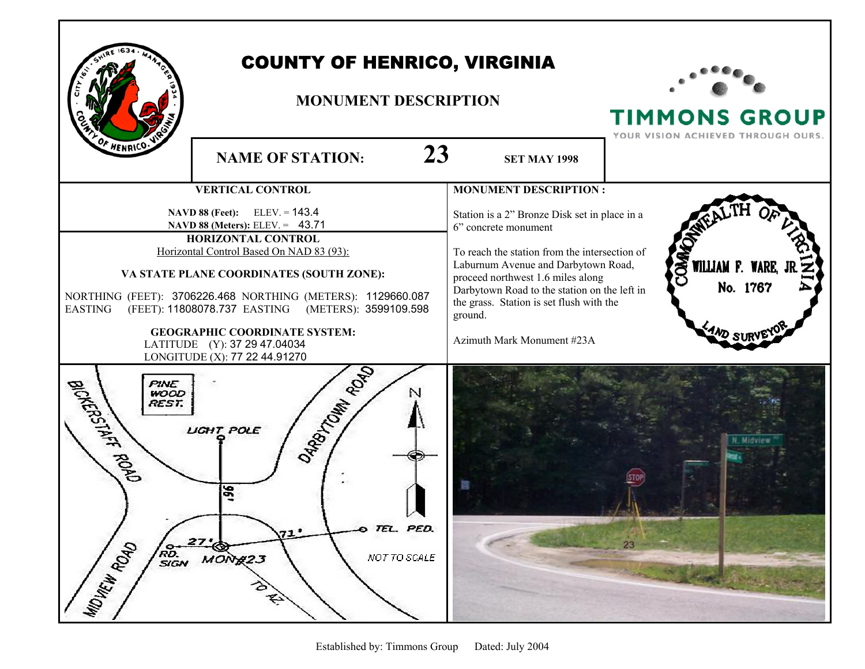

## COUNTY OF HENRICO, VIRGINIA

## **MONUMENT DESCRIPTION**



**TIMMONS GROUP** 

YOUR VISION ACHIEVED THROUGH OURS. **NAME OF STATION: 23** SET MAY 1998 **VERTICAL CONTROL MONUMENT DESCRIPTION : NAVD 88 (Feet):** ELEV. = **143.4** Station is a 2" Bronze Disk set in place in a  **NAVD 88 (Meters):** ELEV. = 43.71 6" concrete monument **HORIZONTAL CONTROL** Horizontal Control Based On NAD 83 (93): To reach the station from the intersection of Laburnum Avenue and Darbytown Road, WILLIAM F. **VA STATE PLANE COORDINATES (SOUTH ZONE):**  proceed northwest 1.6 miles along No. 1767 Darbytown Road to the station on the left in NORTHING (FEET): 3706226.468 NORTHING (METERS): 1129660.087 the grass. Station is set flush with the EASTING (FEET): 11808078.737 EASTING (METERS): 3599109.598 ground. **GEOGRAPHIC COORDINATE SYSTEM:** Azimuth Mark Monument #23A LATITUDE (Y): 37 29 47.04034  $\begin{array}{c}\n\text{LONGITUDE (X): 77 22 44.91270} \\
\hline\n\text{WOOD} \\
\text{REST.} \\
\text{LIGHT POLE} \\
\end{array}\n\qquad\n\begin{array}{c}\n\sqrt{5} \\
\sqrt{2} \\
\sqrt{2} \\
\sqrt{2}\n\end{array}$ BICKERSTAFF ROAD PINE<br>WOOD **REST. LIGHT POLE** 96 TEL. PED. MOVEW ROAD RD.<br>SIGN NOT TO SCALE  $MON#23$